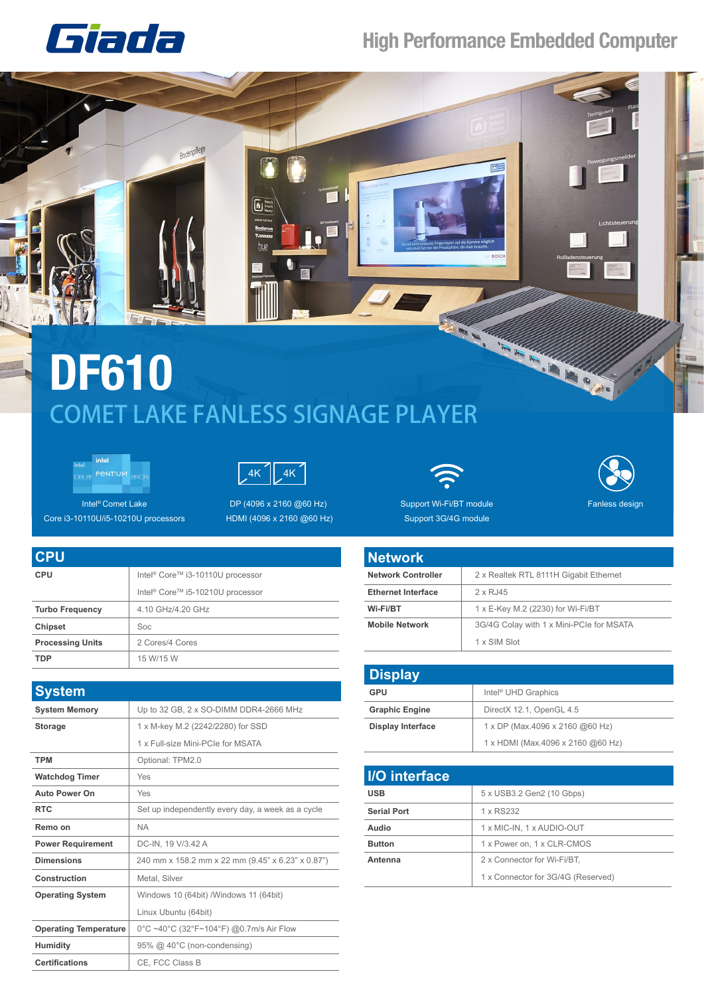

## **High Performance Embedded Computer**

## COMET LAKE FANLESS SIGNAGE PLAYER **DF610**

 $\overline{\mathbf{b}}$ 





Intel® Comet Lake Core i3-10110U/i5-10210U processors

**CPU**

DP (4096 x 2160 @60 Hz) HDMI (4096 x 2160 @60 Hz)





Support Wi-Fi/BT module Support 3G/4G module

| <b>Network</b>            |                                          |
|---------------------------|------------------------------------------|
| <b>Network Controller</b> | 2 x Realtek RTL 8111H Gigabit Ethernet   |
| <b>Ethernet Interface</b> | 2 x RJ45                                 |
| Wi-Fi/BT                  | 1 x E-Key M.2 (2230) for Wi-Fi/BT        |
| <b>Mobile Network</b>     | 3G/4G Colay with 1 x Mini-PCIe for MSATA |
|                           | 1 x SIM Slot                             |

| <b>Display</b>           |                                   |
|--------------------------|-----------------------------------|
| GPU                      | Intel <sup>®</sup> UHD Graphics   |
| <b>Graphic Engine</b>    | DirectX 12.1, OpenGL 4.5          |
| <b>Display Interface</b> | 1 x DP (Max.4096 x 2160 @60 Hz)   |
|                          | 1 x HDMI (Max.4096 x 2160 @60 Hz) |

| 5 x USB3.2 Gen2 (10 Gbps)          |
|------------------------------------|
| 1 x RS232                          |
| 1 x MIC-IN, 1 x AUDIO-OUT          |
| 1 x Power on, 1 x CLR-CMOS         |
| 2 x Connector for Wi-Fi/BT,        |
| 1 x Connector for 3G/4G (Reserved) |
|                                    |

| <b>UFU</b>              |                                                          |
|-------------------------|----------------------------------------------------------|
| <b>CPU</b>              | Intel <sup>®</sup> Core <sup>™</sup> i3-10110U processor |
|                         | Intel <sup>®</sup> Core <sup>™</sup> i5-10210U processor |
| <b>Turbo Frequency</b>  | 4.10 GHz/4.20 GHz                                        |
| <b>Chipset</b>          | Soc                                                      |
| <b>Processing Units</b> | 2 Cores/4 Cores                                          |
| <b>TDP</b>              | 15 W/15 W                                                |
|                         |                                                          |

Bodenpflege

| <b>System</b>                |                                                   |
|------------------------------|---------------------------------------------------|
| <b>System Memory</b>         | Up to 32 GB, 2 x SO-DIMM DDR4-2666 MHz            |
| <b>Storage</b>               | 1 x M-key M.2 (2242/2280) for SSD                 |
|                              | 1 x Full-size Mini-PCIe for MSATA                 |
| <b>TPM</b>                   | Optional: TPM2.0                                  |
| <b>Watchdog Timer</b>        | Yes                                               |
| <b>Auto Power On</b>         | Yes                                               |
| <b>RTC</b>                   | Set up independently every day, a week as a cycle |
| Remo on                      | <b>NA</b>                                         |
| <b>Power Requirement</b>     | DC-IN, 19 V/3.42 A                                |
| <b>Dimensions</b>            | 240 mm x 158.2 mm x 22 mm (9.45" x 6.23" x 0.87") |
| Construction                 | Metal, Silver                                     |
| <b>Operating System</b>      | Windows 10 (64bit) / Windows 11 (64bit)           |
|                              | Linux Ubuntu (64bit)                              |
| <b>Operating Temperature</b> | 0°C ~40°C (32°F~104°F) @0.7m/s Air Flow           |
| <b>Humidity</b>              | 95% @ 40°C (non-condensing)                       |
| <b>Certifications</b>        | CE. FCC Class B                                   |